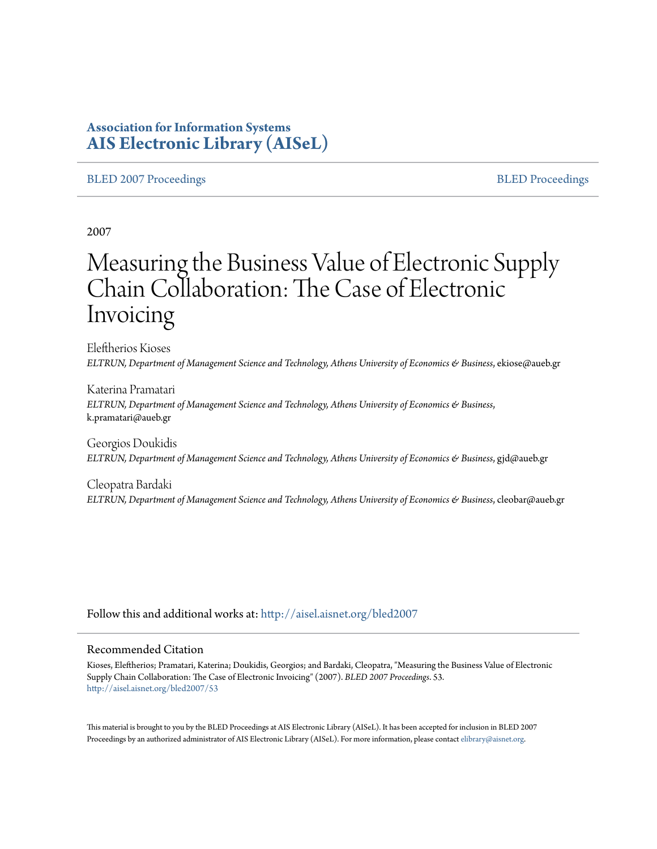## **Association for Information Systems [AIS Electronic Library \(AISeL\)](http://aisel.aisnet.org?utm_source=aisel.aisnet.org%2Fbled2007%2F53&utm_medium=PDF&utm_campaign=PDFCoverPages)**

#### [BLED 2007 Proceedings](http://aisel.aisnet.org/bled2007?utm_source=aisel.aisnet.org%2Fbled2007%2F53&utm_medium=PDF&utm_campaign=PDFCoverPages) and the state of the state of the [BLED Proceedings](http://aisel.aisnet.org/bled?utm_source=aisel.aisnet.org%2Fbled2007%2F53&utm_medium=PDF&utm_campaign=PDFCoverPages) and the BLED Proceedings and the BLED Proceedings and the BLED Proceedings and the BLED Proceedings and the BLED Proceedings and the BLED Proceedings

2007

# Measuring the Business Value of Electronic Supply Chain Collaboration: The Case of Electronic Invoicing

Eleftherios Kioses *ELTRUN, Department of Management Science and Technology, Athens University of Economics & Business*, ekiose@aueb.gr

Katerina Pramatari *ELTRUN, Department of Management Science and Technology, Athens University of Economics & Business*, k.pramatari@aueb.gr

Georgios Doukidis *ELTRUN, Department of Management Science and Technology, Athens University of Economics & Business*, gjd@aueb.gr

Cleopatra Bardaki *ELTRUN, Department of Management Science and Technology, Athens University of Economics & Business*, cleobar@aueb.gr

Follow this and additional works at: [http://aisel.aisnet.org/bled2007](http://aisel.aisnet.org/bled2007?utm_source=aisel.aisnet.org%2Fbled2007%2F53&utm_medium=PDF&utm_campaign=PDFCoverPages)

#### Recommended Citation

Kioses, Eleftherios; Pramatari, Katerina; Doukidis, Georgios; and Bardaki, Cleopatra, "Measuring the Business Value of Electronic Supply Chain Collaboration: The Case of Electronic Invoicing" (2007). *BLED 2007 Proceedings*. 53. [http://aisel.aisnet.org/bled2007/53](http://aisel.aisnet.org/bled2007/53?utm_source=aisel.aisnet.org%2Fbled2007%2F53&utm_medium=PDF&utm_campaign=PDFCoverPages)

This material is brought to you by the BLED Proceedings at AIS Electronic Library (AISeL). It has been accepted for inclusion in BLED 2007 Proceedings by an authorized administrator of AIS Electronic Library (AISeL). For more information, please contact [elibrary@aisnet.org](mailto:elibrary@aisnet.org%3E).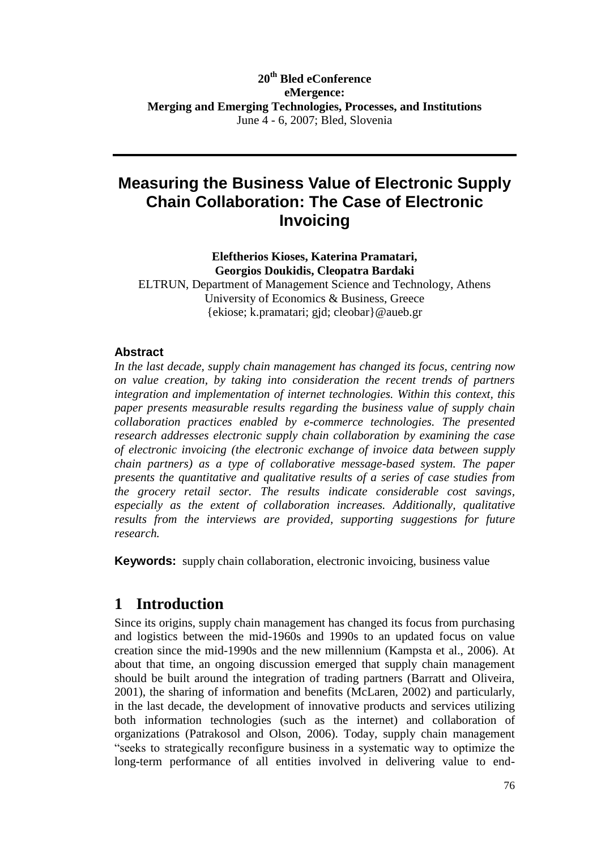### **20th Bled eConference eMergence: Merging and Emerging Technologies, Processes, and Institutions** June 4 - 6, 2007; Bled, Slovenia

# **Measuring the Business Value of Electronic Supply Chain Collaboration: The Case of Electronic Invoicing**

**Eleftherios Kioses, Katerina Pramatari, Georgios Doukidis, Cleopatra Bardaki**

ELTRUN, Department of Management Science and Technology, Athens University of Economics & Business, Greece {ekiose; k.pramatari; gjd; cleobar}@aueb.gr

#### **Abstract**

*In the last decade, supply chain management has changed its focus, centring now on value creation, by taking into consideration the recent trends of partners integration and implementation of internet technologies. Within this context, this paper presents measurable results regarding the business value of supply chain collaboration practices enabled by e-commerce technologies. The presented research addresses electronic supply chain collaboration by examining the case of electronic invoicing (the electronic exchange of invoice data between supply chain partners) as a type of collaborative message-based system. The paper presents the quantitative and qualitative results of a series of case studies from the grocery retail sector. The results indicate considerable cost savings, especially as the extent of collaboration increases. Additionally, qualitative results from the interviews are provided, supporting suggestions for future research.*

**Keywords:** supply chain collaboration, electronic invoicing, business value

# **1 Introduction**

Since its origins, supply chain management has changed its focus from purchasing and logistics between the mid-1960s and 1990s to an updated focus on value creation since the mid-1990s and the new millennium (Kampsta et al., 2006). At about that time, an ongoing discussion emerged that supply chain management should be built around the integration of trading partners (Barratt and Oliveira, 2001), the sharing of information and benefits (McLaren, 2002) and particularly, in the last decade, the development of innovative products and services utilizing both information technologies (such as the internet) and collaboration of organizations (Patrakosol and Olson, 2006). Today, supply chain management "seeks to strategically reconfigure business in a systematic way to optimize the long-term performance of all entities involved in delivering value to end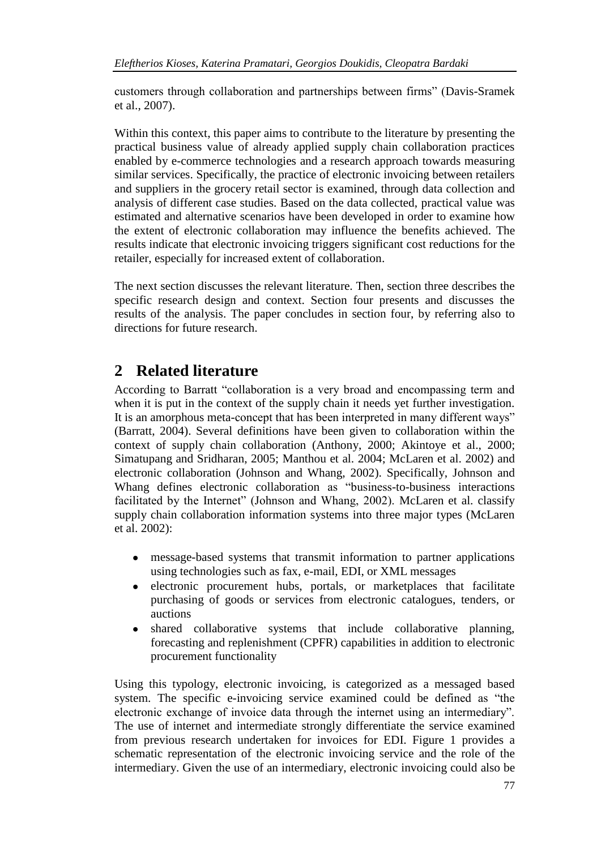customers through collaboration and partnerships between firms" (Davis-Sramek et al., 2007).

Within this context, this paper aims to contribute to the literature by presenting the practical business value of already applied supply chain collaboration practices enabled by e-commerce technologies and a research approach towards measuring similar services. Specifically, the practice of electronic invoicing between retailers and suppliers in the grocery retail sector is examined, through data collection and analysis of different case studies. Based on the data collected, practical value was estimated and alternative scenarios have been developed in order to examine how the extent of electronic collaboration may influence the benefits achieved. The results indicate that electronic invoicing triggers significant cost reductions for the retailer, especially for increased extent of collaboration.

The next section discusses the relevant literature. Then, section three describes the specific research design and context. Section four presents and discusses the results of the analysis. The paper concludes in section four, by referring also to directions for future research.

# **2 Related literature**

According to Barratt "collaboration is a very broad and encompassing term and when it is put in the context of the supply chain it needs yet further investigation. It is an amorphous meta-concept that has been interpreted in many different ways" (Barratt, 2004). Several definitions have been given to collaboration within the context of supply chain collaboration (Anthony, 2000; Akintoye et al., 2000; Simatupang and Sridharan, 2005; Manthou et al. 2004; McLaren et al. 2002) and electronic collaboration (Johnson and Whang, 2002). Specifically, Johnson and Whang defines electronic collaboration as "business-to-business interactions facilitated by the Internet" (Johnson and Whang, 2002). McLaren et al. classify supply chain collaboration information systems into three major types (McLaren et al. 2002):

- message-based systems that transmit information to partner applications using technologies such as fax, e-mail, EDI, or XML messages
- electronic procurement hubs, portals, or marketplaces that facilitate  $\bullet$ purchasing of goods or services from electronic catalogues, tenders, or auctions
- shared collaborative systems that include collaborative planning, forecasting and replenishment (CPFR) capabilities in addition to electronic procurement functionality

Using this typology, electronic invoicing, is categorized as a messaged based system. The specific e-invoicing service examined could be defined as "the electronic exchange of invoice data through the internet using an intermediary". The use of internet and intermediate strongly differentiate the service examined from previous research undertaken for invoices for EDI. Figure 1 provides a schematic representation of the electronic invoicing service and the role of the intermediary. Given the use of an intermediary, electronic invoicing could also be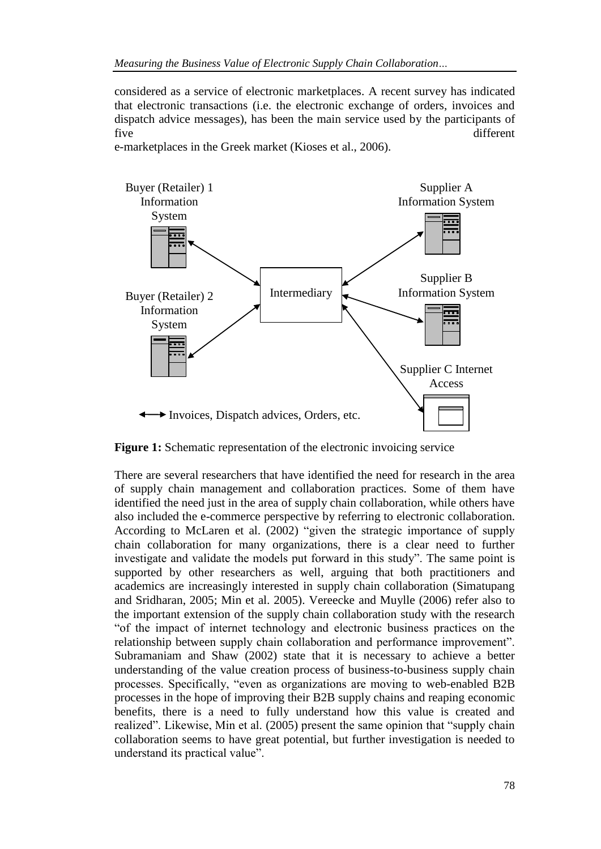considered as a service of electronic marketplaces. A recent survey has indicated that electronic transactions (i.e. the electronic exchange of orders, invoices and dispatch advice messages), has been the main service used by the participants of five different

e-marketplaces in the Greek market (Kioses et al., 2006).



**Figure 1:** Schematic representation of the electronic invoicing service

There are several researchers that have identified the need for research in the area of supply chain management and collaboration practices. Some of them have identified the need just in the area of supply chain collaboration, while others have also included the e-commerce perspective by referring to electronic collaboration. According to McLaren et al. (2002) "given the strategic importance of supply chain collaboration for many organizations, there is a clear need to further investigate and validate the models put forward in this study". The same point is supported by other researchers as well, arguing that both practitioners and academics are increasingly interested in supply chain collaboration (Simatupang and Sridharan, 2005; Min et al. 2005). Vereecke and Muylle (2006) refer also to the important extension of the supply chain collaboration study with the research "of the impact of internet technology and electronic business practices on the relationship between supply chain collaboration and performance improvement". Subramaniam and Shaw (2002) state that it is necessary to achieve a better understanding of the value creation process of business-to-business supply chain processes. Specifically, "even as organizations are moving to web-enabled B2B processes in the hope of improving their B2B supply chains and reaping economic benefits, there is a need to fully understand how this value is created and realized". Likewise, Min et al. (2005) present the same opinion that "supply chain collaboration seems to have great potential, but further investigation is needed to understand its practical value".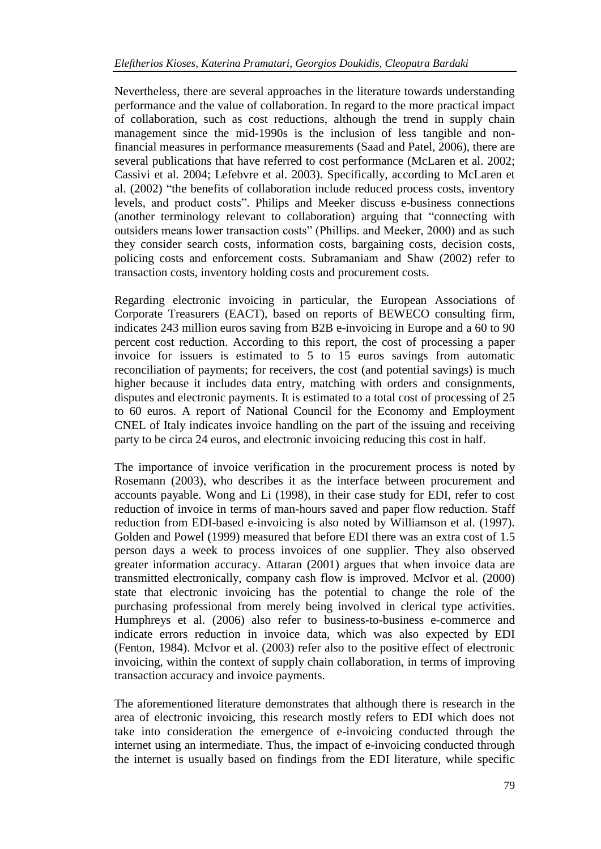Nevertheless, there are several approaches in the literature towards understanding performance and the value of collaboration. In regard to the more practical impact of collaboration, such as cost reductions, although the trend in supply chain management since the mid-1990s is the inclusion of less tangible and nonfinancial measures in performance measurements (Saad and Patel, 2006), there are several publications that have referred to cost performance (McLaren et al. 2002; Cassivi et al. 2004; Lefebvre et al. 2003). Specifically, according to McLaren et al. (2002) "the benefits of collaboration include reduced process costs, inventory levels, and product costs". Philips and Meeker discuss e-business connections (another terminology relevant to collaboration) arguing that "connecting with outsiders means lower transaction costs" (Phillips. and Meeker, 2000) and as such they consider search costs, information costs, bargaining costs, decision costs, policing costs and enforcement costs. Subramaniam and Shaw (2002) refer to transaction costs, inventory holding costs and procurement costs.

Regarding electronic invoicing in particular, the European Associations of Corporate Treasurers (EACT), based on reports of BEWECO consulting firm, indicates 243 million euros saving from B2B e-invoicing in Europe and a 60 to 90 percent cost reduction. According to this report, the cost of processing a paper invoice for issuers is estimated to 5 to 15 euros savings from automatic reconciliation of payments; for receivers, the cost (and potential savings) is much higher because it includes data entry, matching with orders and consignments, disputes and electronic payments. It is estimated to a total cost of processing of 25 to 60 euros. A report of National Council for the Economy and Employment CNEL of Italy indicates invoice handling on the part of the issuing and receiving party to be circa 24 euros, and electronic invoicing reducing this cost in half.

The importance of invoice verification in the procurement process is noted by Rosemann (2003), who describes it as the interface between procurement and accounts payable. Wong and Li (1998), in their case study for EDI, refer to cost reduction of invoice in terms of man-hours saved and paper flow reduction. Staff reduction from EDI-based e-invoicing is also noted by Williamson et al. (1997). Golden and Powel (1999) measured that before EDI there was an extra cost of 1.5 person days a week to process invoices of one supplier. They also observed greater information accuracy. Attaran (2001) argues that when invoice data are transmitted electronically, company cash flow is improved. McIvor et al. (2000) state that electronic invoicing has the potential to change the role of the purchasing professional from merely being involved in clerical type activities. Humphreys et al. (2006) also refer to business-to-business e-commerce and indicate errors reduction in invoice data, which was also expected by EDI (Fenton, 1984). McIvor et al. (2003) refer also to the positive effect of electronic invoicing, within the context of supply chain collaboration, in terms of improving transaction accuracy and invoice payments.

The aforementioned literature demonstrates that although there is research in the area of electronic invoicing, this research mostly refers to EDI which does not take into consideration the emergence of e-invoicing conducted through the internet using an intermediate. Thus, the impact of e-invoicing conducted through the internet is usually based on findings from the EDI literature, while specific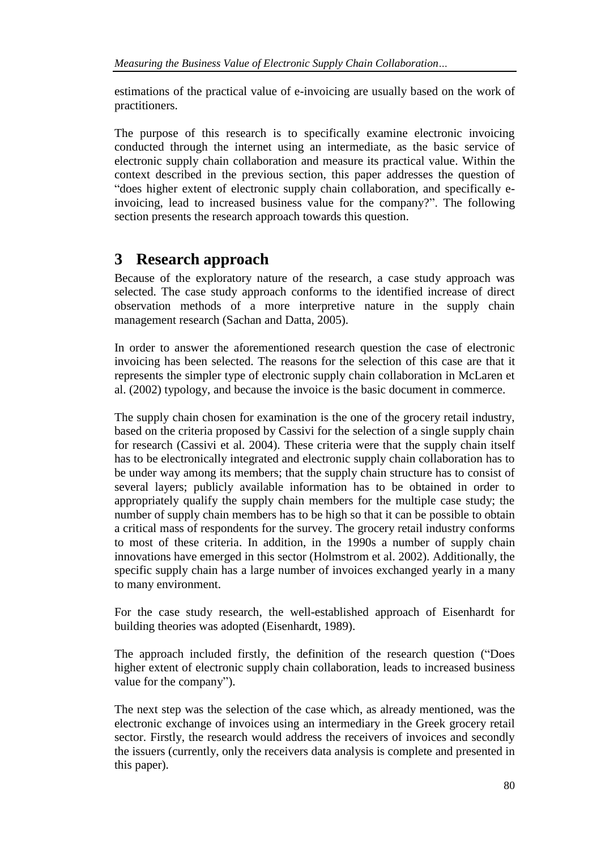estimations of the practical value of e-invoicing are usually based on the work of practitioners.

The purpose of this research is to specifically examine electronic invoicing conducted through the internet using an intermediate, as the basic service of electronic supply chain collaboration and measure its practical value. Within the context described in the previous section, this paper addresses the question of "does higher extent of electronic supply chain collaboration, and specifically einvoicing, lead to increased business value for the company?". The following section presents the research approach towards this question.

# **3 Research approach**

Because of the exploratory nature of the research, a case study approach was selected. The case study approach conforms to the identified increase of direct observation methods of a more interpretive nature in the supply chain management research (Sachan and Datta, 2005).

In order to answer the aforementioned research question the case of electronic invoicing has been selected. The reasons for the selection of this case are that it represents the simpler type of electronic supply chain collaboration in McLaren et al. (2002) typology, and because the invoice is the basic document in commerce.

The supply chain chosen for examination is the one of the grocery retail industry, based on the criteria proposed by Cassivi for the selection of a single supply chain for research (Cassivi et al. 2004). These criteria were that the supply chain itself has to be electronically integrated and electronic supply chain collaboration has to be under way among its members; that the supply chain structure has to consist of several layers; publicly available information has to be obtained in order to appropriately qualify the supply chain members for the multiple case study; the number of supply chain members has to be high so that it can be possible to obtain a critical mass of respondents for the survey. The grocery retail industry conforms to most of these criteria. In addition, in the 1990s a number of supply chain innovations have emerged in this sector (Holmstrom et al. 2002). Additionally, the specific supply chain has a large number of invoices exchanged yearly in a many to many environment.

For the case study research, the well-established approach of Eisenhardt for building theories was adopted (Eisenhardt, 1989).

The approach included firstly, the definition of the research question ("Does higher extent of electronic supply chain collaboration, leads to increased business value for the company").

The next step was the selection of the case which, as already mentioned, was the electronic exchange of invoices using an intermediary in the Greek grocery retail sector. Firstly, the research would address the receivers of invoices and secondly the issuers (currently, only the receivers data analysis is complete and presented in this paper).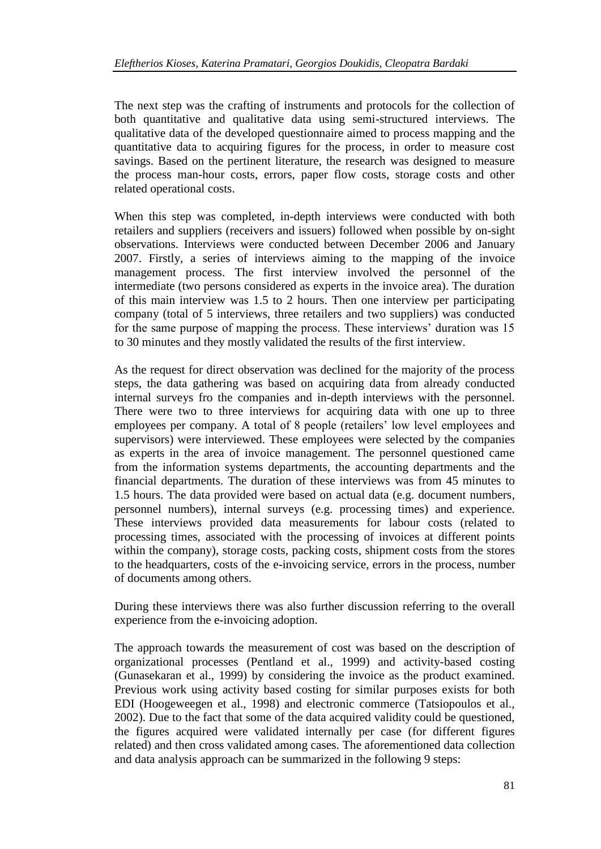The next step was the crafting of instruments and protocols for the collection of both quantitative and qualitative data using semi-structured interviews. The qualitative data of the developed questionnaire aimed to process mapping and the quantitative data to acquiring figures for the process, in order to measure cost savings. Based on the pertinent literature, the research was designed to measure the process man-hour costs, errors, paper flow costs, storage costs and other related operational costs.

When this step was completed, in-depth interviews were conducted with both retailers and suppliers (receivers and issuers) followed when possible by on-sight observations. Interviews were conducted between December 2006 and January 2007. Firstly, a series of interviews aiming to the mapping of the invoice management process. The first interview involved the personnel of the intermediate (two persons considered as experts in the invoice area). The duration of this main interview was 1.5 to 2 hours. Then one interview per participating company (total of 5 interviews, three retailers and two suppliers) was conducted for the same purpose of mapping the process. These interviews' duration was 15 to 30 minutes and they mostly validated the results of the first interview.

As the request for direct observation was declined for the majority of the process steps, the data gathering was based on acquiring data from already conducted internal surveys fro the companies and in-depth interviews with the personnel. There were two to three interviews for acquiring data with one up to three employees per company. A total of 8 people (retailers' low level employees and supervisors) were interviewed. These employees were selected by the companies as experts in the area of invoice management. The personnel questioned came from the information systems departments, the accounting departments and the financial departments. The duration of these interviews was from 45 minutes to 1.5 hours. The data provided were based on actual data (e.g. document numbers, personnel numbers), internal surveys (e.g. processing times) and experience. These interviews provided data measurements for labour costs (related to processing times, associated with the processing of invoices at different points within the company), storage costs, packing costs, shipment costs from the stores to the headquarters, costs of the e-invoicing service, errors in the process, number of documents among others.

During these interviews there was also further discussion referring to the overall experience from the e-invoicing adoption.

The approach towards the measurement of cost was based on the description of organizational processes (Pentland et al., 1999) and activity-based costing (Gunasekaran et al., 1999) by considering the invoice as the product examined. Previous work using activity based costing for similar purposes exists for both EDI (Hoogeweegen et al., 1998) and electronic commerce (Tatsiopoulos et al., 2002). Due to the fact that some of the data acquired validity could be questioned, the figures acquired were validated internally per case (for different figures related) and then cross validated among cases. The aforementioned data collection and data analysis approach can be summarized in the following 9 steps: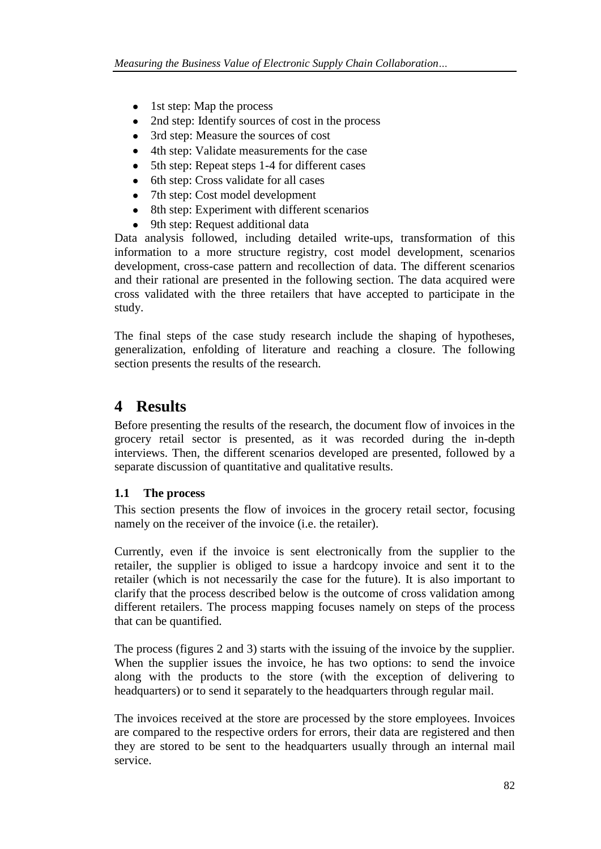- 1st step: Map the process
- 2nd step: Identify sources of cost in the process
- 3rd step: Measure the sources of cost
- 4th step: Validate measurements for the case
- 5th step: Repeat steps 1-4 for different cases
- 6th step: Cross validate for all cases
- 7th step: Cost model development
- 8th step: Experiment with different scenarios
- 9th step: Request additional data

Data analysis followed, including detailed write-ups, transformation of this information to a more structure registry, cost model development, scenarios development, cross-case pattern and recollection of data. The different scenarios and their rational are presented in the following section. The data acquired were cross validated with the three retailers that have accepted to participate in the study.

The final steps of the case study research include the shaping of hypotheses, generalization, enfolding of literature and reaching a closure. The following section presents the results of the research.

# **4 Results**

Before presenting the results of the research, the document flow of invoices in the grocery retail sector is presented, as it was recorded during the in-depth interviews. Then, the different scenarios developed are presented, followed by a separate discussion of quantitative and qualitative results.

### **1.1 The process**

This section presents the flow of invoices in the grocery retail sector, focusing namely on the receiver of the invoice (i.e. the retailer).

Currently, even if the invoice is sent electronically from the supplier to the retailer, the supplier is obliged to issue a hardcopy invoice and sent it to the retailer (which is not necessarily the case for the future). It is also important to clarify that the process described below is the outcome of cross validation among different retailers. The process mapping focuses namely on steps of the process that can be quantified.

The process (figures 2 and 3) starts with the issuing of the invoice by the supplier. When the supplier issues the invoice, he has two options: to send the invoice along with the products to the store (with the exception of delivering to headquarters) or to send it separately to the headquarters through regular mail.

The invoices received at the store are processed by the store employees. Invoices are compared to the respective orders for errors, their data are registered and then they are stored to be sent to the headquarters usually through an internal mail service.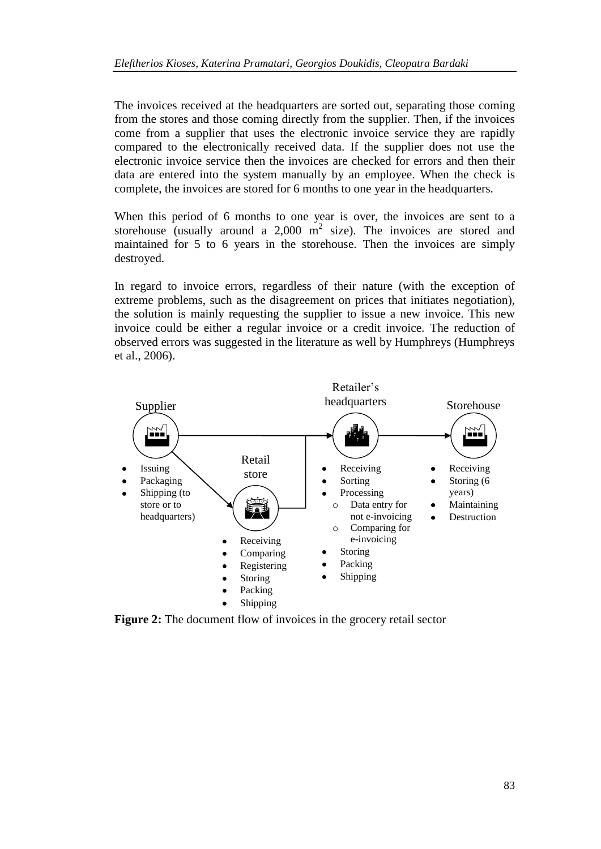The invoices received at the headquarters are sorted out, separating those coming from the stores and those coming directly from the supplier. Then, if the invoices come from a supplier that uses the electronic invoice service they are rapidly compared to the electronically received data. If the supplier does not use the electronic invoice service then the invoices are checked for errors and then their data are entered into the system manually by an employee. When the check is complete, the invoices are stored for 6 months to one year in the headquarters.

When this period of 6 months to one year is over, the invoices are sent to a storehouse (usually around a 2,000  $m^2$  size). The invoices are stored and maintained for 5 to 6 years in the storehouse. Then the invoices are simply destroyed.

In regard to invoice errors, regardless of their nature (with the exception of extreme problems, such as the disagreement on prices that initiates negotiation), the solution is mainly requesting the supplier to issue a new invoice. This new invoice could be either a regular invoice or a credit invoice. The reduction of observed errors was suggested in the literature as well by Humphreys (Humphreys et al., 2006).



**Figure 2:** The document flow of invoices in the grocery retail sector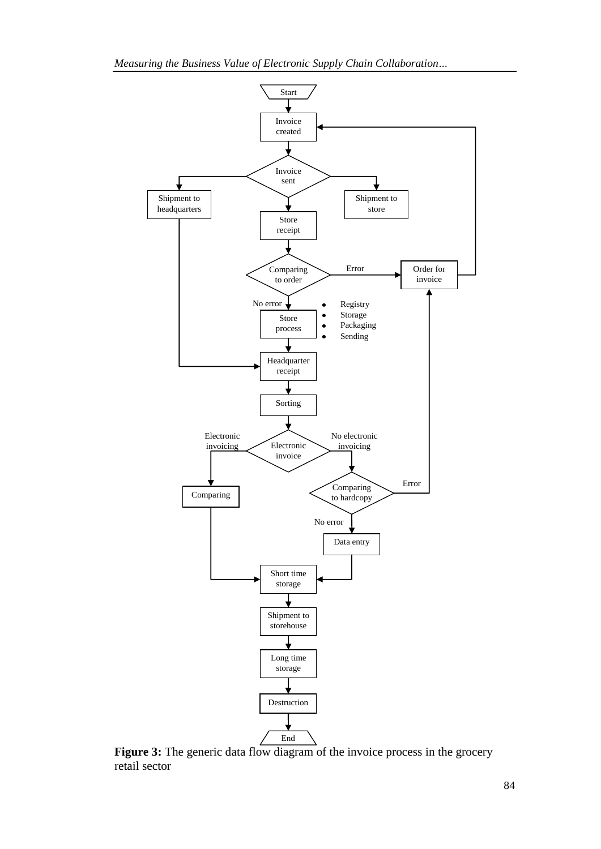*Measuring the Business Value of Electronic Supply Chain Collaboration…*



Figure 3: The generic data flow diagram of the invoice process in the grocery retail sector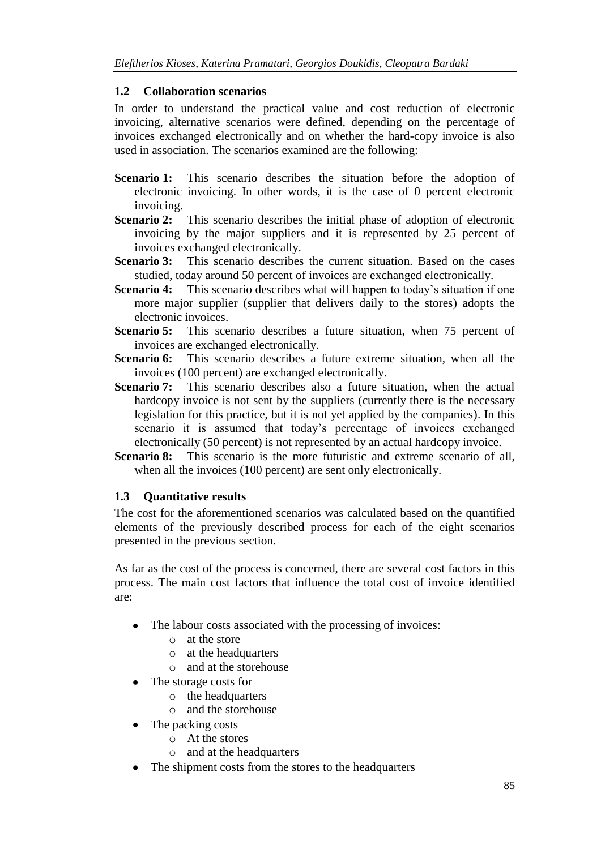### **1.2 Collaboration scenarios**

In order to understand the practical value and cost reduction of electronic invoicing, alternative scenarios were defined, depending on the percentage of invoices exchanged electronically and on whether the hard-copy invoice is also used in association. The scenarios examined are the following:

- **Scenario 1:** This scenario describes the situation before the adoption of electronic invoicing. In other words, it is the case of 0 percent electronic invoicing.
- **Scenario 2:** This scenario describes the initial phase of adoption of electronic invoicing by the major suppliers and it is represented by 25 percent of invoices exchanged electronically.
- **Scenario 3:** This scenario describes the current situation. Based on the cases studied, today around 50 percent of invoices are exchanged electronically.
- **Scenario 4:** This scenario describes what will happen to today's situation if one more major supplier (supplier that delivers daily to the stores) adopts the electronic invoices.
- **Scenario 5:** This scenario describes a future situation, when 75 percent of invoices are exchanged electronically.
- **Scenario 6:** This scenario describes a future extreme situation, when all the invoices (100 percent) are exchanged electronically.
- **Scenario 7:** This scenario describes also a future situation, when the actual hardcopy invoice is not sent by the suppliers (currently there is the necessary legislation for this practice, but it is not yet applied by the companies). In this scenario it is assumed that today's percentage of invoices exchanged electronically (50 percent) is not represented by an actual hardcopy invoice.
- **Scenario 8:** This scenario is the more futuristic and extreme scenario of all, when all the invoices (100 percent) are sent only electronically.

### **1.3 Quantitative results**

The cost for the aforementioned scenarios was calculated based on the quantified elements of the previously described process for each of the eight scenarios presented in the previous section.

As far as the cost of the process is concerned, there are several cost factors in this process. The main cost factors that influence the total cost of invoice identified are:

- The labour costs associated with the processing of invoices:
	- o at the store
	- o at the headquarters
	- o and at the storehouse
- The storage costs for
	- o the headquarters
	- o and the storehouse
- The packing costs
	- o At the stores
		- o and at the headquarters
- The shipment costs from the stores to the headquarters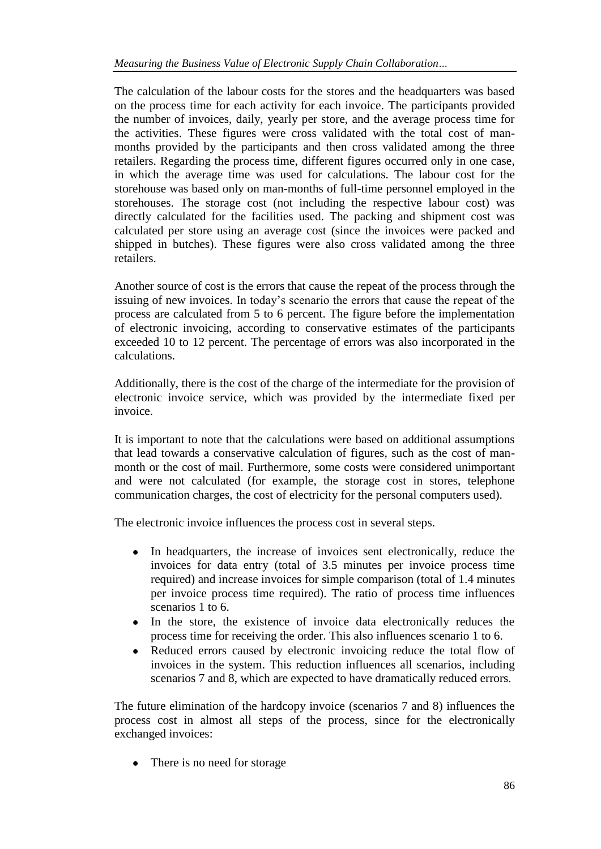The calculation of the labour costs for the stores and the headquarters was based on the process time for each activity for each invoice. The participants provided the number of invoices, daily, yearly per store, and the average process time for the activities. These figures were cross validated with the total cost of manmonths provided by the participants and then cross validated among the three retailers. Regarding the process time, different figures occurred only in one case, in which the average time was used for calculations. The labour cost for the storehouse was based only on man-months of full-time personnel employed in the storehouses. The storage cost (not including the respective labour cost) was directly calculated for the facilities used. The packing and shipment cost was calculated per store using an average cost (since the invoices were packed and shipped in butches). These figures were also cross validated among the three retailers.

Another source of cost is the errors that cause the repeat of the process through the issuing of new invoices. In today's scenario the errors that cause the repeat of the process are calculated from 5 to 6 percent. The figure before the implementation of electronic invoicing, according to conservative estimates of the participants exceeded 10 to 12 percent. The percentage of errors was also incorporated in the calculations.

Additionally, there is the cost of the charge of the intermediate for the provision of electronic invoice service, which was provided by the intermediate fixed per invoice.

It is important to note that the calculations were based on additional assumptions that lead towards a conservative calculation of figures, such as the cost of manmonth or the cost of mail. Furthermore, some costs were considered unimportant and were not calculated (for example, the storage cost in stores, telephone communication charges, the cost of electricity for the personal computers used).

The electronic invoice influences the process cost in several steps.

- In headquarters, the increase of invoices sent electronically, reduce the invoices for data entry (total of 3.5 minutes per invoice process time required) and increase invoices for simple comparison (total of 1.4 minutes per invoice process time required). The ratio of process time influences scenarios 1 to 6.
- In the store, the existence of invoice data electronically reduces the process time for receiving the order. This also influences scenario 1 to 6.
- Reduced errors caused by electronic invoicing reduce the total flow of  $\bullet$ invoices in the system. This reduction influences all scenarios, including scenarios 7 and 8, which are expected to have dramatically reduced errors.

The future elimination of the hardcopy invoice (scenarios 7 and 8) influences the process cost in almost all steps of the process, since for the electronically exchanged invoices:

• There is no need for storage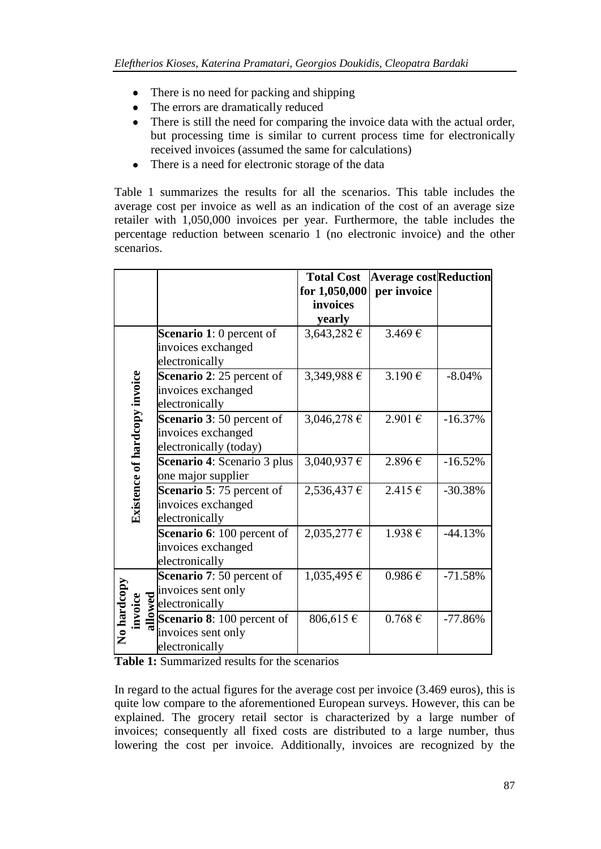- There is no need for packing and shipping
- The errors are dramatically reduced
- There is still the need for comparing the invoice data with the actual order, but processing time is similar to current process time for electronically received invoices (assumed the same for calculations)
- There is a need for electronic storage of the data  $\bullet$

Table 1 summarizes the results for all the scenarios. This table includes the average cost per invoice as well as an indication of the cost of an average size retailer with 1,050,000 invoices per year. Furthermore, the table includes the percentage reduction between scenario 1 (no electronic invoice) and the other scenarios.

|                    |                                      |                                                                                                             | <b>Total Cost</b> | <b>Average cost Reduction</b> |           |
|--------------------|--------------------------------------|-------------------------------------------------------------------------------------------------------------|-------------------|-------------------------------|-----------|
|                    |                                      |                                                                                                             | for 1,050,000     | per invoice                   |           |
|                    |                                      |                                                                                                             | invoices          |                               |           |
|                    |                                      |                                                                                                             | yearly            |                               |           |
|                    | <b>Existence of hardcopy invoice</b> | <b>Scenario 1:</b> 0 percent of                                                                             | 3,643,282 €       | 3.469€                        |           |
|                    |                                      | invoices exchanged                                                                                          |                   |                               |           |
|                    |                                      | electronically                                                                                              |                   |                               |           |
|                    |                                      | <b>Scenario 2: 25 percent of</b>                                                                            | 3,349,988 €       | 3.190€                        | $-8.04%$  |
|                    |                                      | invoices exchanged                                                                                          |                   |                               |           |
|                    |                                      | electronically                                                                                              |                   |                               |           |
|                    |                                      | <b>Scenario 3: 50 percent of</b>                                                                            | 3,046,278 €       | 2.901€                        | $-16.37%$ |
|                    |                                      | invoices exchanged                                                                                          |                   |                               |           |
|                    |                                      | electronically (today)                                                                                      |                   |                               |           |
|                    |                                      | <b>Scenario 4:</b> Scenario 3 plus                                                                          | 3,040,937 €       | 2.896€                        | $-16.52%$ |
|                    |                                      | one major supplier                                                                                          |                   |                               |           |
|                    |                                      | Scenario 5:75 percent of                                                                                    | 2,536,437 €       | 2.415€                        | $-30.38%$ |
|                    |                                      | invoices exchanged                                                                                          |                   |                               |           |
|                    |                                      | electronically                                                                                              |                   |                               |           |
|                    |                                      | Scenario 6: 100 percent of                                                                                  | 2,035,277 €       | 1.938€                        | $-44.13%$ |
|                    |                                      | invoices exchanged                                                                                          |                   |                               |           |
|                    |                                      | electronically                                                                                              |                   |                               |           |
| <b>No hardcopy</b> |                                      | Scenario 7: 50 percent of                                                                                   | 1,035,495 €       | $0.986 \in$                   | $-71.58%$ |
|                    |                                      | invoices sent only                                                                                          |                   |                               |           |
|                    | invoice                              | $\sum_{n=0}^{\infty} \frac{1}{n}$ electronically<br>$\sum_{n=0}^{\infty}$ <b>Scenario 8:</b> 100 percent of |                   |                               |           |
|                    |                                      |                                                                                                             | 806,615€          | $0.768 \overline{\epsilon}$   | $-77.86%$ |
|                    |                                      | invoices sent only                                                                                          |                   |                               |           |
|                    |                                      | electronically                                                                                              |                   |                               |           |

**Table 1:** Summarized results for the scenarios

In regard to the actual figures for the average cost per invoice (3.469 euros), this is quite low compare to the aforementioned European surveys. However, this can be explained. The grocery retail sector is characterized by a large number of invoices; consequently all fixed costs are distributed to a large number, thus lowering the cost per invoice. Additionally, invoices are recognized by the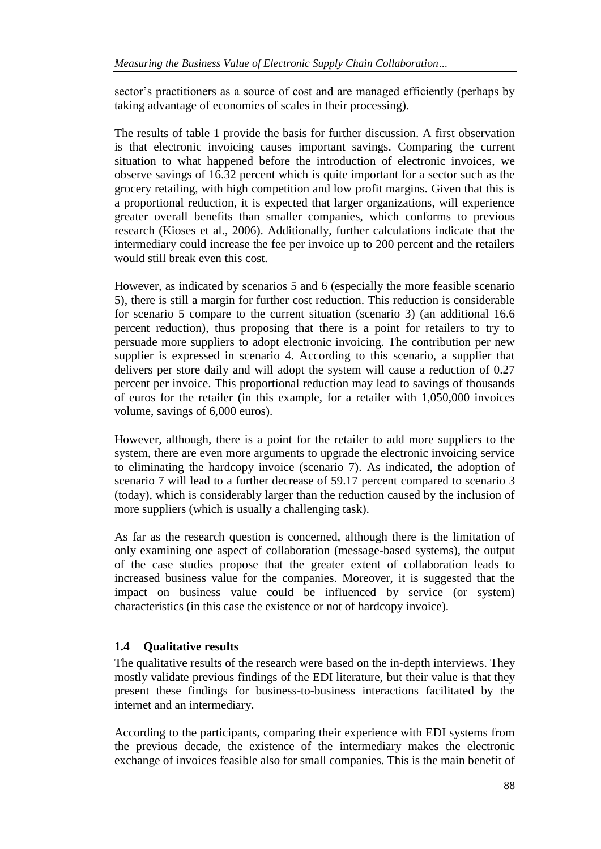sector's practitioners as a source of cost and are managed efficiently (perhaps by taking advantage of economies of scales in their processing).

The results of table 1 provide the basis for further discussion. A first observation is that electronic invoicing causes important savings. Comparing the current situation to what happened before the introduction of electronic invoices, we observe savings of 16.32 percent which is quite important for a sector such as the grocery retailing, with high competition and low profit margins. Given that this is a proportional reduction, it is expected that larger organizations, will experience greater overall benefits than smaller companies, which conforms to previous research (Kioses et al., 2006). Additionally, further calculations indicate that the intermediary could increase the fee per invoice up to 200 percent and the retailers would still break even this cost.

However, as indicated by scenarios 5 and 6 (especially the more feasible scenario 5), there is still a margin for further cost reduction. This reduction is considerable for scenario 5 compare to the current situation (scenario 3) (an additional 16.6 percent reduction), thus proposing that there is a point for retailers to try to persuade more suppliers to adopt electronic invoicing. The contribution per new supplier is expressed in scenario 4. According to this scenario, a supplier that delivers per store daily and will adopt the system will cause a reduction of 0.27 percent per invoice. This proportional reduction may lead to savings of thousands of euros for the retailer (in this example, for a retailer with 1,050,000 invoices volume, savings of 6,000 euros).

However, although, there is a point for the retailer to add more suppliers to the system, there are even more arguments to upgrade the electronic invoicing service to eliminating the hardcopy invoice (scenario 7). As indicated, the adoption of scenario 7 will lead to a further decrease of 59.17 percent compared to scenario 3 (today), which is considerably larger than the reduction caused by the inclusion of more suppliers (which is usually a challenging task).

As far as the research question is concerned, although there is the limitation of only examining one aspect of collaboration (message-based systems), the output of the case studies propose that the greater extent of collaboration leads to increased business value for the companies. Moreover, it is suggested that the impact on business value could be influenced by service (or system) characteristics (in this case the existence or not of hardcopy invoice).

### **1.4 Qualitative results**

The qualitative results of the research were based on the in-depth interviews. They mostly validate previous findings of the EDI literature, but their value is that they present these findings for business-to-business interactions facilitated by the internet and an intermediary.

According to the participants, comparing their experience with EDI systems from the previous decade, the existence of the intermediary makes the electronic exchange of invoices feasible also for small companies. This is the main benefit of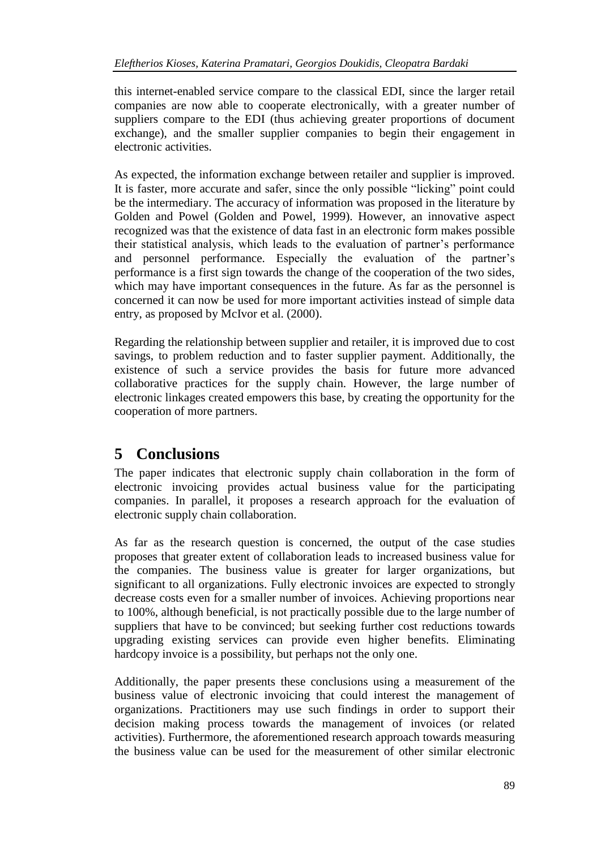this internet-enabled service compare to the classical EDI, since the larger retail companies are now able to cooperate electronically, with a greater number of suppliers compare to the EDI (thus achieving greater proportions of document exchange), and the smaller supplier companies to begin their engagement in electronic activities.

As expected, the information exchange between retailer and supplier is improved. It is faster, more accurate and safer, since the only possible "licking" point could be the intermediary. The accuracy of information was proposed in the literature by Golden and Powel (Golden and Powel, 1999). However, an innovative aspect recognized was that the existence of data fast in an electronic form makes possible their statistical analysis, which leads to the evaluation of partner's performance and personnel performance. Especially the evaluation of the partner's performance is a first sign towards the change of the cooperation of the two sides, which may have important consequences in the future. As far as the personnel is concerned it can now be used for more important activities instead of simple data entry, as proposed by McIvor et al. (2000).

Regarding the relationship between supplier and retailer, it is improved due to cost savings, to problem reduction and to faster supplier payment. Additionally, the existence of such a service provides the basis for future more advanced collaborative practices for the supply chain. However, the large number of electronic linkages created empowers this base, by creating the opportunity for the cooperation of more partners.

# **5 Conclusions**

The paper indicates that electronic supply chain collaboration in the form of electronic invoicing provides actual business value for the participating companies. In parallel, it proposes a research approach for the evaluation of electronic supply chain collaboration.

As far as the research question is concerned, the output of the case studies proposes that greater extent of collaboration leads to increased business value for the companies. The business value is greater for larger organizations, but significant to all organizations. Fully electronic invoices are expected to strongly decrease costs even for a smaller number of invoices. Achieving proportions near to 100%, although beneficial, is not practically possible due to the large number of suppliers that have to be convinced; but seeking further cost reductions towards upgrading existing services can provide even higher benefits. Eliminating hardcopy invoice is a possibility, but perhaps not the only one.

Additionally, the paper presents these conclusions using a measurement of the business value of electronic invoicing that could interest the management of organizations. Practitioners may use such findings in order to support their decision making process towards the management of invoices (or related activities). Furthermore, the aforementioned research approach towards measuring the business value can be used for the measurement of other similar electronic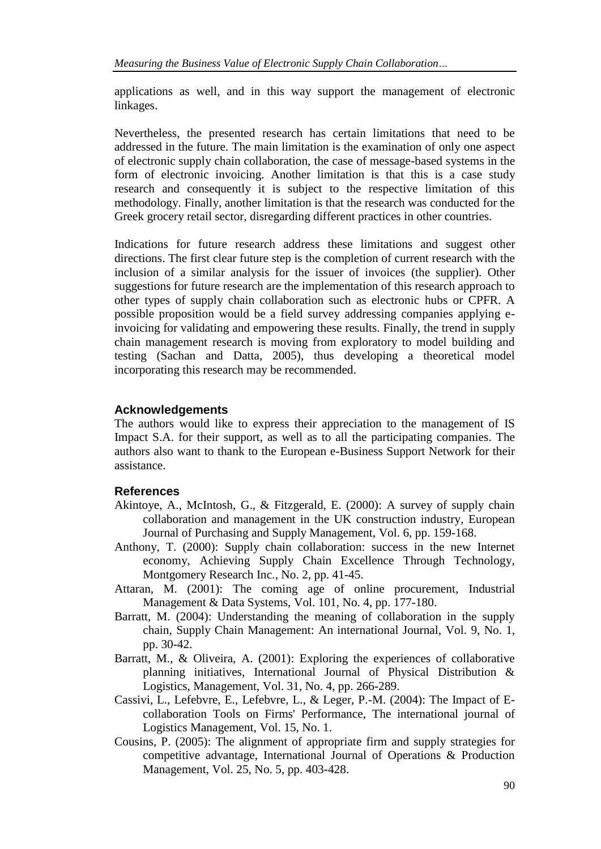applications as well, and in this way support the management of electronic linkages.

Nevertheless, the presented research has certain limitations that need to be addressed in the future. The main limitation is the examination of only one aspect of electronic supply chain collaboration, the case of message-based systems in the form of electronic invoicing. Another limitation is that this is a case study research and consequently it is subject to the respective limitation of this methodology. Finally, another limitation is that the research was conducted for the Greek grocery retail sector, disregarding different practices in other countries.

Indications for future research address these limitations and suggest other directions. The first clear future step is the completion of current research with the inclusion of a similar analysis for the issuer of invoices (the supplier). Other suggestions for future research are the implementation of this research approach to other types of supply chain collaboration such as electronic hubs or CPFR. A possible proposition would be a field survey addressing companies applying einvoicing for validating and empowering these results. Finally, the trend in supply chain management research is moving from exploratory to model building and testing (Sachan and Datta, 2005), thus developing a theoretical model incorporating this research may be recommended.

#### **Acknowledgements**

The authors would like to express their appreciation to the management of IS Impact S.A. for their support, as well as to all the participating companies. The authors also want to thank to the European e-Business Support Network for their assistance.

#### **References**

- Akintoye, A., McIntosh, G., & Fitzgerald, E. (2000): A survey of supply chain collaboration and management in the UK construction industry, European Journal of Purchasing and Supply Management, Vol. 6, pp. 159-168.
- Anthony, T. (2000): Supply chain collaboration: success in the new Internet economy, Achieving Supply Chain Excellence Through Technology, Montgomery Research Inc., No. 2, pp. 41-45.
- Attaran, M. (2001): The coming age of online procurement, Industrial Management & Data Systems, Vol. 101, No. 4, pp. 177-180.
- Barratt, M. (2004): Understanding the meaning of collaboration in the supply chain, Supply Chain Management: An international Journal, Vol. 9, No. 1, pp. 30-42.
- Barratt, M., & Oliveira, A. (2001): Exploring the experiences of collaborative planning initiatives, International Journal of Physical Distribution & Logistics, Management, Vol. 31, No. 4, pp. 266-289.
- Cassivi, L., Lefebvre, E., Lefebvre, L., & Leger, P.-M. (2004): The Impact of Ecollaboration Tools on Firms' Performance, The international journal of Logistics Management, Vol. 15, No. 1.
- Cousins, P. (2005): The alignment of appropriate firm and supply strategies for competitive advantage, International Journal of Operations & Production Management, Vol. 25, No. 5, pp. 403-428.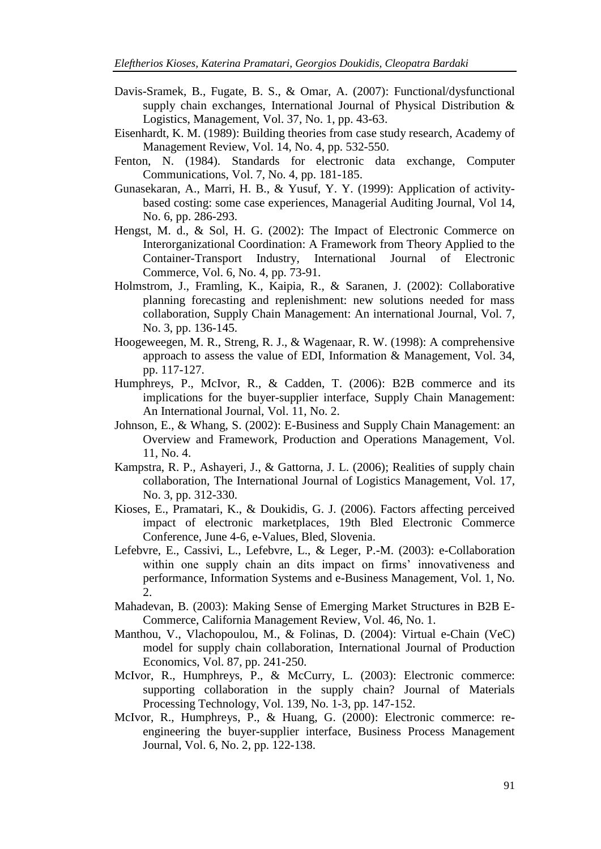- Davis-Sramek, B., Fugate, B. S., & Omar, A. (2007): Functional/dysfunctional supply chain exchanges, International Journal of Physical Distribution & Logistics, Management, Vol. 37, No. 1, pp. 43-63.
- Eisenhardt, K. M. (1989): Building theories from case study research, Academy of Management Review, Vol. 14, No. 4, pp. 532-550.
- Fenton, N. (1984). Standards for electronic data exchange, Computer Communications, Vol. 7, No. 4, pp. 181-185.
- Gunasekaran, A., Marri, H. B., & Yusuf, Y. Y. (1999): Application of activitybased costing: some case experiences, Managerial Auditing Journal, Vol 14, No. 6, pp. 286-293.
- Hengst, M. d., & Sol, H. G. (2002): The Impact of Electronic Commerce on Interorganizational Coordination: A Framework from Theory Applied to the Container-Transport Industry, International Journal of Electronic Commerce, Vol. 6, No. 4, pp. 73-91.
- Holmstrom, J., Framling, K., Kaipia, R., & Saranen, J. (2002): Collaborative planning forecasting and replenishment: new solutions needed for mass collaboration, Supply Chain Management: An international Journal, Vol. 7, No. 3, pp. 136-145.
- Hoogeweegen, M. R., Streng, R. J., & Wagenaar, R. W. (1998): A comprehensive approach to assess the value of EDI, Information & Management, Vol. 34, pp. 117-127.
- Humphreys, P., McIvor, R., & Cadden, T. (2006): B2B commerce and its implications for the buyer-supplier interface, Supply Chain Management: An International Journal, Vol. 11, No. 2.
- Johnson, E., & Whang, S. (2002): E-Business and Supply Chain Management: an Overview and Framework, Production and Operations Management, Vol. 11, No. 4.
- Kampstra, R. P., Ashayeri, J., & Gattorna, J. L. (2006); Realities of supply chain collaboration, The International Journal of Logistics Management, Vol. 17, No. 3, pp. 312-330.
- Kioses, E., Pramatari, K., & Doukidis, G. J. (2006). Factors affecting perceived impact of electronic marketplaces, 19th Bled Electronic Commerce Conference, June 4-6, e-Values, Bled, Slovenia.
- Lefebvre, E., Cassivi, L., Lefebvre, L., & Leger, P.-M. (2003): e-Collaboration within one supply chain an dits impact on firms' innovativeness and performance, Information Systems and e-Business Management, Vol. 1, No. 2.
- Mahadevan, B. (2003): Making Sense of Emerging Market Structures in B2B E-Commerce, California Management Review, Vol. 46, No. 1.
- Manthou, V., Vlachopoulou, M., & Folinas, D. (2004): Virtual e-Chain (VeC) model for supply chain collaboration, International Journal of Production Economics, Vol. 87, pp. 241-250.
- McIvor, R., Humphreys, P., & McCurry, L. (2003): Electronic commerce: supporting collaboration in the supply chain? Journal of Materials Processing Technology, Vol. 139, No. 1-3, pp. 147-152.
- McIvor, R., Humphreys, P., & Huang, G. (2000): Electronic commerce: reengineering the buyer-supplier interface, Business Process Management Journal, Vol. 6, No. 2, pp. 122-138.